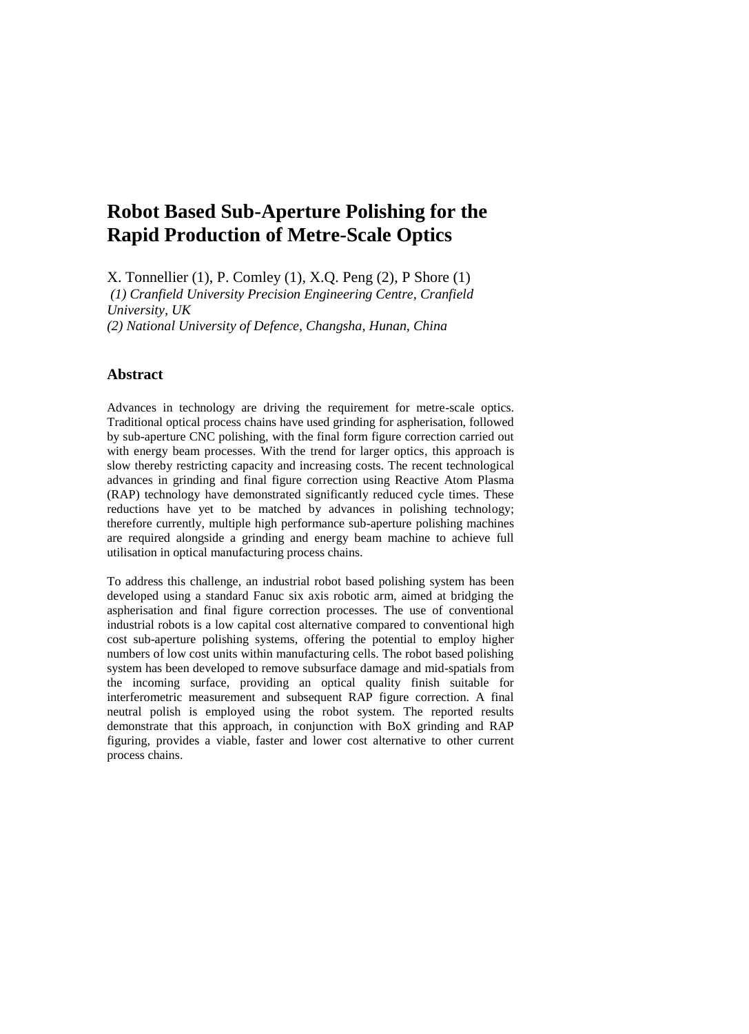# **Robot Based Sub-Aperture Polishing for the Rapid Production of Metre-Scale Optics**

X. Tonnellier (1), P. Comley (1), X.Q. Peng (2), P Shore (1) *(1) Cranfield University Precision Engineering Centre, Cranfield University, UK (2) National University of Defence, Changsha, Hunan, China*

## **Abstract**

Advances in technology are driving the requirement for metre-scale optics. Traditional optical process chains have used grinding for aspherisation, followed by sub-aperture CNC polishing, with the final form figure correction carried out with energy beam processes. With the trend for larger optics, this approach is slow thereby restricting capacity and increasing costs. The recent technological advances in grinding and final figure correction using Reactive Atom Plasma (RAP) technology have demonstrated significantly reduced cycle times. These reductions have yet to be matched by advances in polishing technology; therefore currently, multiple high performance sub-aperture polishing machines are required alongside a grinding and energy beam machine to achieve full utilisation in optical manufacturing process chains.

To address this challenge, an industrial robot based polishing system has been developed using a standard Fanuc six axis robotic arm, aimed at bridging the aspherisation and final figure correction processes. The use of conventional industrial robots is a low capital cost alternative compared to conventional high cost sub-aperture polishing systems, offering the potential to employ higher numbers of low cost units within manufacturing cells. The robot based polishing system has been developed to remove subsurface damage and mid-spatials from the incoming surface, providing an optical quality finish suitable for interferometric measurement and subsequent RAP figure correction. A final neutral polish is employed using the robot system. The reported results demonstrate that this approach, in conjunction with BoX grinding and RAP figuring, provides a viable, faster and lower cost alternative to other current process chains.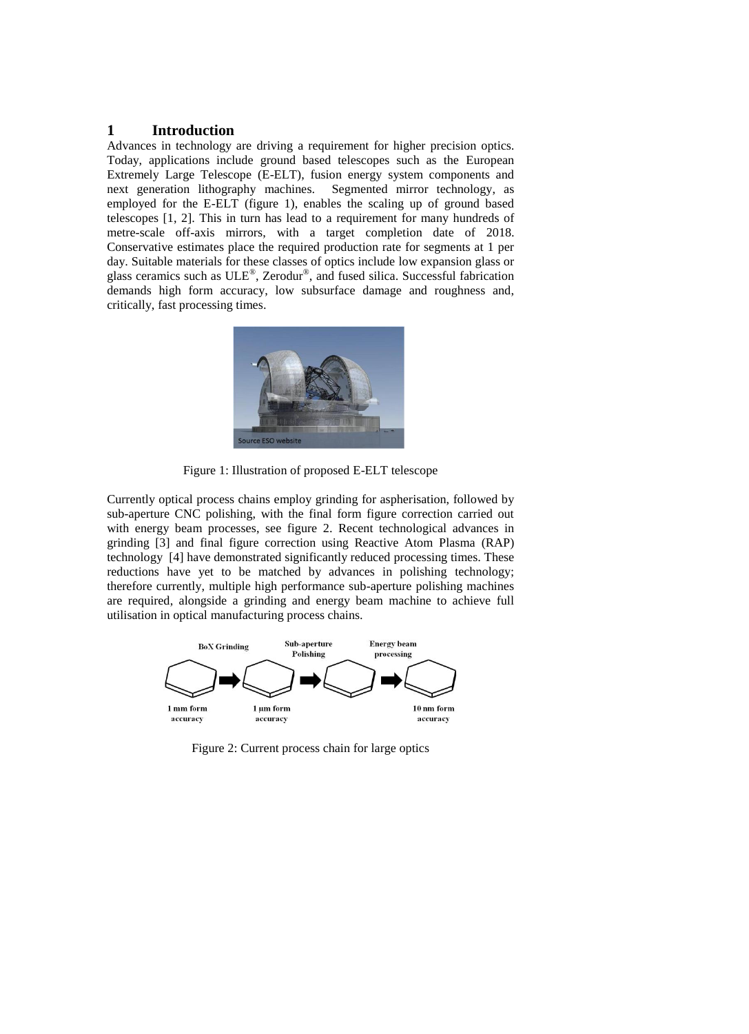## **1 Introduction**

Advances in technology are driving a requirement for higher precision optics. Today, applications include ground based telescopes such as the European Extremely Large Telescope (E-ELT), fusion energy system components and next generation lithography machines. Segmented mirror technology, as next generation lithography machines. employed for the E-ELT (figure 1), enables the scaling up of ground based telescopes [1, 2]. This in turn has lead to a requirement for many hundreds of metre-scale off-axis mirrors, with a target completion date of 2018. Conservative estimates place the required production rate for segments at 1 per day. Suitable materials for these classes of optics include low expansion glass or glass ceramics such as  $ULE^{\circledast}$ , Zerodur $^{\circledast}$ , and fused silica. Successful fabrication demands high form accuracy, low subsurface damage and roughness and, critically, fast processing times.



Figure 1: Illustration of proposed E-ELT telescope

Currently optical process chains employ grinding for aspherisation, followed by sub-aperture CNC polishing, with the final form figure correction carried out with energy beam processes, see figure 2. Recent technological advances in grinding [3] and final figure correction using Reactive Atom Plasma (RAP) technology [4] have demonstrated significantly reduced processing times. These reductions have yet to be matched by advances in polishing technology; therefore currently, multiple high performance sub-aperture polishing machines are required, alongside a grinding and energy beam machine to achieve full utilisation in optical manufacturing process chains.



Figure 2: Current process chain for large optics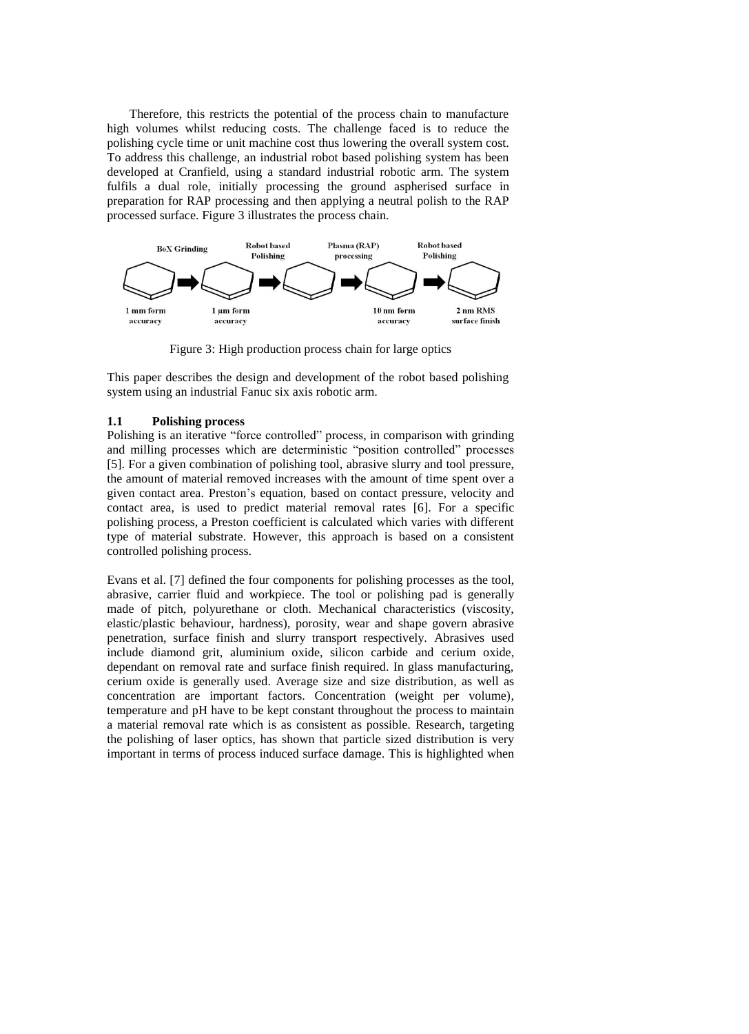Therefore, this restricts the potential of the process chain to manufacture high volumes whilst reducing costs. The challenge faced is to reduce the polishing cycle time or unit machine cost thus lowering the overall system cost. To address this challenge, an industrial robot based polishing system has been developed at Cranfield, using a standard industrial robotic arm. The system fulfils a dual role, initially processing the ground aspherised surface in preparation for RAP processing and then applying a neutral polish to the RAP processed surface. Figure 3 illustrates the process chain.



Figure 3: High production process chain for large optics

This paper describes the design and development of the robot based polishing system using an industrial Fanuc six axis robotic arm.

#### **1.1 Polishing process**

Polishing is an iterative "force controlled" process, in comparison with grinding and milling processes which are deterministic "position controlled" processes [5]. For a given combination of polishing tool, abrasive slurry and tool pressure, the amount of material removed increases with the amount of time spent over a given contact area. Preston's equation, based on contact pressure, velocity and contact area, is used to predict material removal rates [6]. For a specific polishing process, a Preston coefficient is calculated which varies with different type of material substrate. However, this approach is based on a consistent controlled polishing process.

Evans et al. [7] defined the four components for polishing processes as the tool, abrasive, carrier fluid and workpiece. The tool or polishing pad is generally made of pitch, polyurethane or cloth. Mechanical characteristics (viscosity, elastic/plastic behaviour, hardness), porosity, wear and shape govern abrasive penetration, surface finish and slurry transport respectively. Abrasives used include diamond grit, aluminium oxide, silicon carbide and cerium oxide, dependant on removal rate and surface finish required. In glass manufacturing, cerium oxide is generally used. Average size and size distribution, as well as concentration are important factors. Concentration (weight per volume), temperature and pH have to be kept constant throughout the process to maintain a material removal rate which is as consistent as possible. Research, targeting the polishing of laser optics, has shown that particle sized distribution is very important in terms of process induced surface damage. This is highlighted when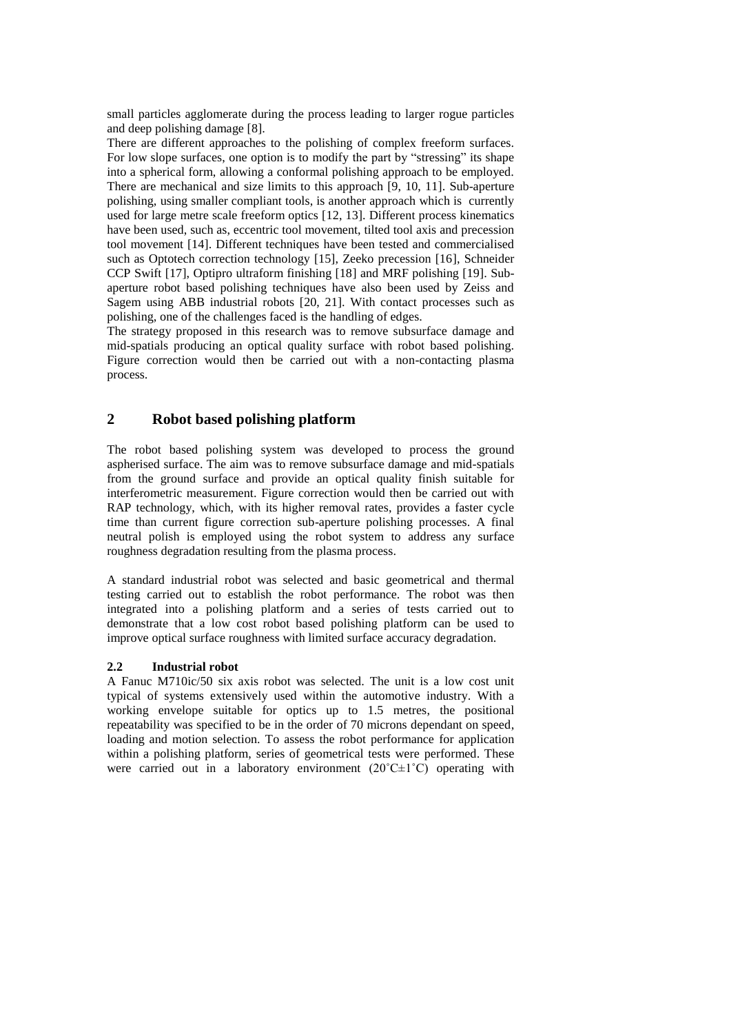small particles agglomerate during the process leading to larger rogue particles and deep polishing damage [8].

There are different approaches to the polishing of complex freeform surfaces. For low slope surfaces, one option is to modify the part by "stressing" its shape into a spherical form, allowing a conformal polishing approach to be employed. There are mechanical and size limits to this approach [9, 10, 11]. Sub-aperture polishing, using smaller compliant tools, is another approach which is currently used for large metre scale freeform optics [12, 13]. Different process kinematics have been used, such as, eccentric tool movement, tilted tool axis and precession tool movement [14]. Different techniques have been tested and commercialised such as Optotech correction technology [15], Zeeko precession [16], Schneider CCP Swift [17], Optipro ultraform finishing [18] and MRF polishing [19]. Subaperture robot based polishing techniques have also been used by Zeiss and Sagem using ABB industrial robots [20, 21]. With contact processes such as polishing, one of the challenges faced is the handling of edges.

The strategy proposed in this research was to remove subsurface damage and mid-spatials producing an optical quality surface with robot based polishing. Figure correction would then be carried out with a non-contacting plasma process.

# **2 Robot based polishing platform**

The robot based polishing system was developed to process the ground aspherised surface. The aim was to remove subsurface damage and mid-spatials from the ground surface and provide an optical quality finish suitable for interferometric measurement. Figure correction would then be carried out with RAP technology, which, with its higher removal rates, provides a faster cycle time than current figure correction sub-aperture polishing processes. A final neutral polish is employed using the robot system to address any surface roughness degradation resulting from the plasma process.

A standard industrial robot was selected and basic geometrical and thermal testing carried out to establish the robot performance. The robot was then integrated into a polishing platform and a series of tests carried out to demonstrate that a low cost robot based polishing platform can be used to improve optical surface roughness with limited surface accuracy degradation.

#### **2.2 Industrial robot**

A Fanuc M710ic/50 six axis robot was selected. The unit is a low cost unit typical of systems extensively used within the automotive industry. With a working envelope suitable for optics up to 1.5 metres, the positional repeatability was specified to be in the order of 70 microns dependant on speed, loading and motion selection. To assess the robot performance for application within a polishing platform, series of geometrical tests were performed. These were carried out in a laboratory environment  $(20^{\circ}C \pm 1^{\circ}C)$  operating with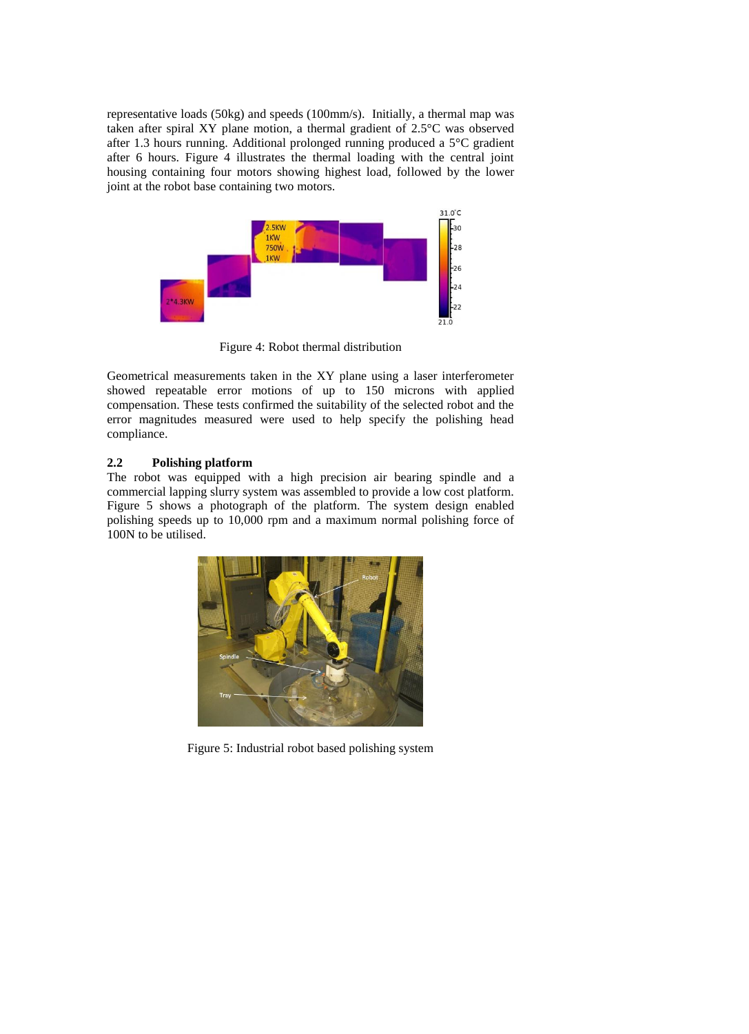representative loads (50kg) and speeds (100mm/s). Initially, a thermal map was taken after spiral XY plane motion, a thermal gradient of 2.5°C was observed after 1.3 hours running. Additional prolonged running produced a 5°C gradient after 6 hours. Figure 4 illustrates the thermal loading with the central joint housing containing four motors showing highest load, followed by the lower joint at the robot base containing two motors.



Figure 4: Robot thermal distribution

Geometrical measurements taken in the XY plane using a laser interferometer showed repeatable error motions of up to 150 microns with applied compensation. These tests confirmed the suitability of the selected robot and the error magnitudes measured were used to help specify the polishing head compliance.

## **2.2 Polishing platform**

The robot was equipped with a high precision air bearing spindle and a commercial lapping slurry system was assembled to provide a low cost platform. Figure 5 shows a photograph of the platform. The system design enabled polishing speeds up to 10,000 rpm and a maximum normal polishing force of 100N to be utilised.



Figure 5: Industrial robot based polishing system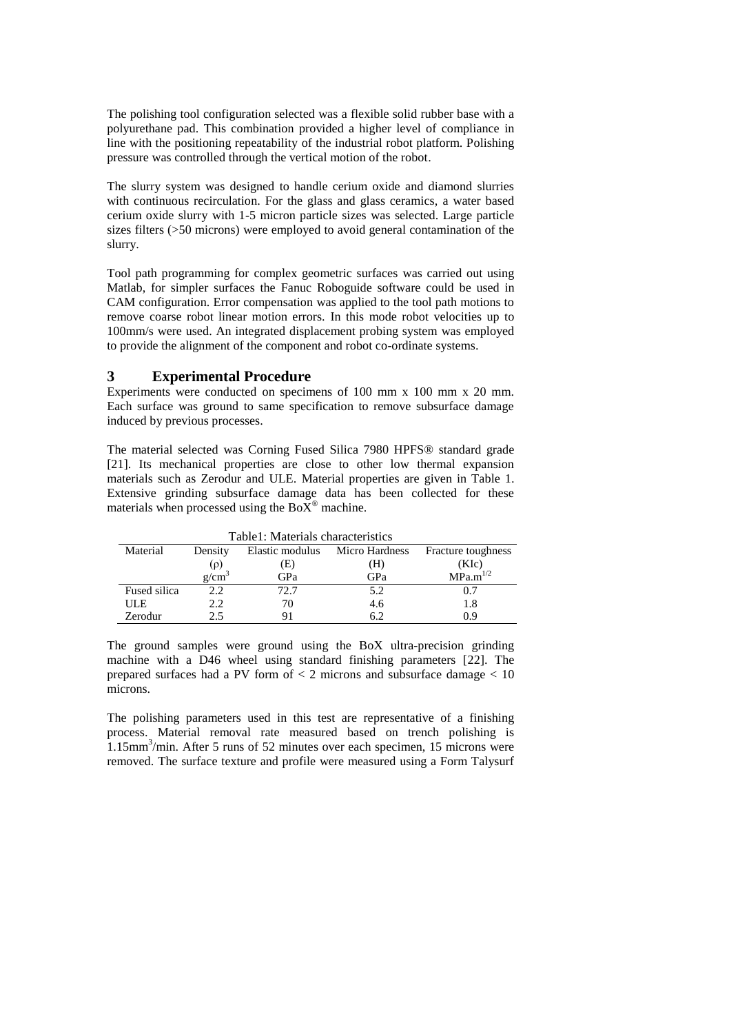The polishing tool configuration selected was a flexible solid rubber base with a polyurethane pad. This combination provided a higher level of compliance in line with the positioning repeatability of the industrial robot platform. Polishing pressure was controlled through the vertical motion of the robot.

The slurry system was designed to handle cerium oxide and diamond slurries with continuous recirculation. For the glass and glass ceramics, a water based cerium oxide slurry with 1-5 micron particle sizes was selected. Large particle sizes filters (>50 microns) were employed to avoid general contamination of the slurry.

Tool path programming for complex geometric surfaces was carried out using Matlab, for simpler surfaces the Fanuc Roboguide software could be used in CAM configuration. Error compensation was applied to the tool path motions to remove coarse robot linear motion errors. In this mode robot velocities up to 100mm/s were used. An integrated displacement probing system was employed to provide the alignment of the component and robot co-ordinate systems.

# **3 Experimental Procedure**

Experiments were conducted on specimens of 100 mm x 100 mm x 20 mm. Each surface was ground to same specification to remove subsurface damage induced by previous processes.

The material selected was Corning Fused Silica 7980 HPFS® standard grade [21]. Its mechanical properties are close to other low thermal expansion materials such as Zerodur and ULE. Material properties are given in Table 1. Extensive grinding subsurface damage data has been collected for these materials when processed using the  $BoX^{\circledast}$  machine.

| Table1: Materials characteristics |         |      |                                |                      |
|-----------------------------------|---------|------|--------------------------------|----------------------|
| Material                          | Density |      | Elastic modulus Micro Hardness | Fracture toughness   |
|                                   | (p)     | (E)  | (H)                            | (KIc)                |
|                                   | g/cm    | GPa  | GPa                            | MPa.m <sup>1/2</sup> |
| Fused silica                      | 2.2.    | 72.7 | 5.2                            | 0.7                  |
| <b>ULE</b>                        | 2.2.    | 70   | 4.6                            | 1.8                  |
| Zerodur                           | 25      |      | 6.2                            | 0 ዓ                  |

The ground samples were ground using the BoX ultra-precision grinding machine with a D46 wheel using standard finishing parameters [22]. The prepared surfaces had a PV form of < 2 microns and subsurface damage < 10 microns.

The polishing parameters used in this test are representative of a finishing process. Material removal rate measured based on trench polishing is 1.15mm<sup>3</sup>/min. After 5 runs of 52 minutes over each specimen, 15 microns were removed. The surface texture and profile were measured using a Form Talysurf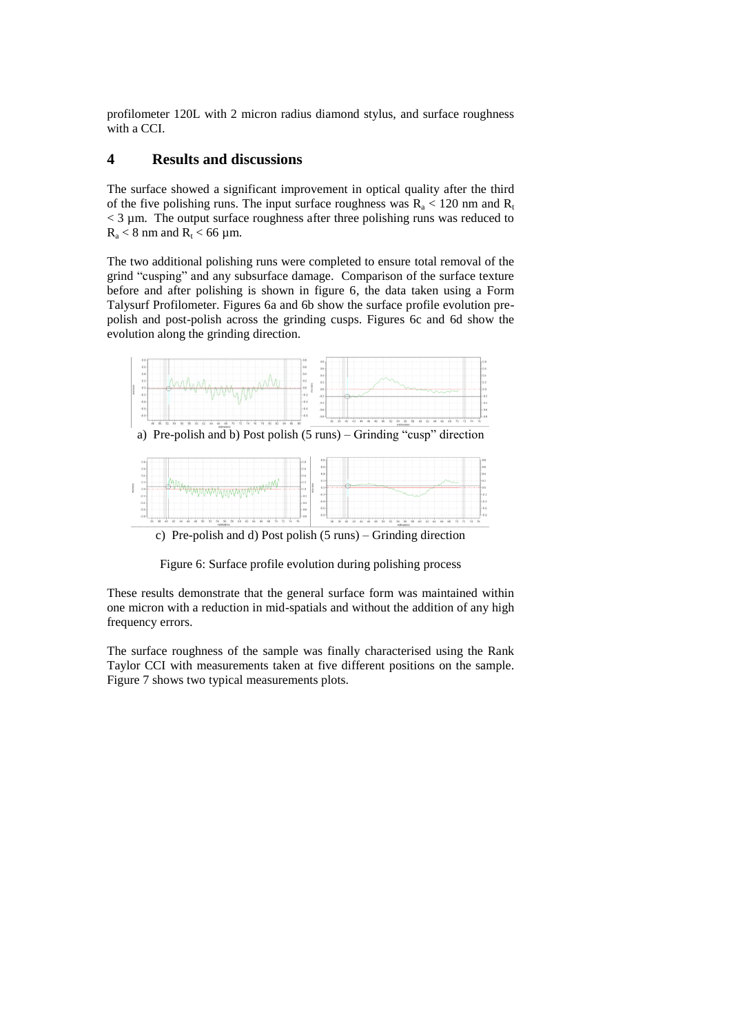profilometer 120L with 2 micron radius diamond stylus, and surface roughness with a CCI.

# **4 Results and discussions**

The surface showed a significant improvement in optical quality after the third of the five polishing runs. The input surface roughness was  $R_a < 120$  nm and  $R_t$  $<$  3  $\mu$ m. The output surface roughness after three polishing runs was reduced to  $R_a < 8$  nm and  $R_t < 66$  µm.

The two additional polishing runs were completed to ensure total removal of the grind "cusping" and any subsurface damage. Comparison of the surface texture before and after polishing is shown in figure 6, the data taken using a Form Talysurf Profilometer. Figures 6a and 6b show the surface profile evolution prepolish and post-polish across the grinding cusps. Figures 6c and 6d show the evolution along the grinding direction.



Figure 6: Surface profile evolution during polishing process

These results demonstrate that the general surface form was maintained within one micron with a reduction in mid-spatials and without the addition of any high frequency errors.

The surface roughness of the sample was finally characterised using the Rank Taylor CCI with measurements taken at five different positions on the sample. Figure 7 shows two typical measurements plots.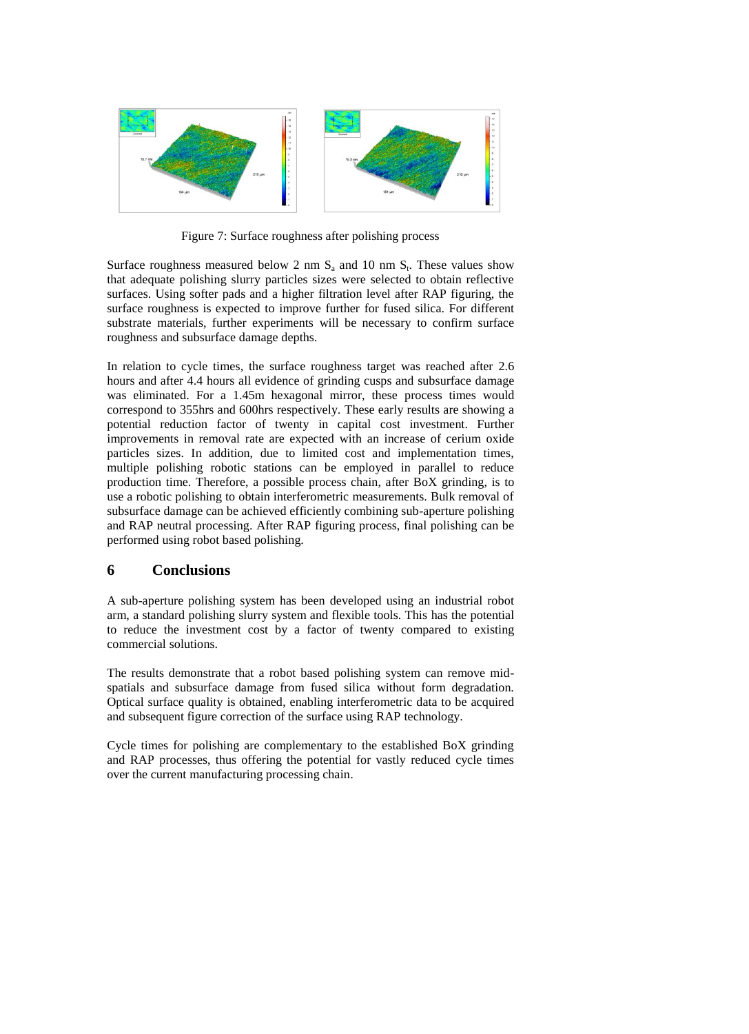

Figure 7: Surface roughness after polishing process

Surface roughness measured below 2 nm  $S_a$  and 10 nm  $S_t$ . These values show that adequate polishing slurry particles sizes were selected to obtain reflective surfaces. Using softer pads and a higher filtration level after RAP figuring, the surface roughness is expected to improve further for fused silica. For different substrate materials, further experiments will be necessary to confirm surface roughness and subsurface damage depths.

In relation to cycle times, the surface roughness target was reached after 2.6 hours and after 4.4 hours all evidence of grinding cusps and subsurface damage was eliminated. For a 1.45m hexagonal mirror, these process times would correspond to 355hrs and 600hrs respectively. These early results are showing a potential reduction factor of twenty in capital cost investment. Further improvements in removal rate are expected with an increase of cerium oxide particles sizes. In addition, due to limited cost and implementation times, multiple polishing robotic stations can be employed in parallel to reduce production time. Therefore, a possible process chain, after BoX grinding, is to use a robotic polishing to obtain interferometric measurements. Bulk removal of subsurface damage can be achieved efficiently combining sub-aperture polishing and RAP neutral processing. After RAP figuring process, final polishing can be performed using robot based polishing.

## **6 Conclusions**

A sub-aperture polishing system has been developed using an industrial robot arm, a standard polishing slurry system and flexible tools. This has the potential to reduce the investment cost by a factor of twenty compared to existing commercial solutions.

The results demonstrate that a robot based polishing system can remove midspatials and subsurface damage from fused silica without form degradation. Optical surface quality is obtained, enabling interferometric data to be acquired and subsequent figure correction of the surface using RAP technology.

Cycle times for polishing are complementary to the established BoX grinding and RAP processes, thus offering the potential for vastly reduced cycle times over the current manufacturing processing chain.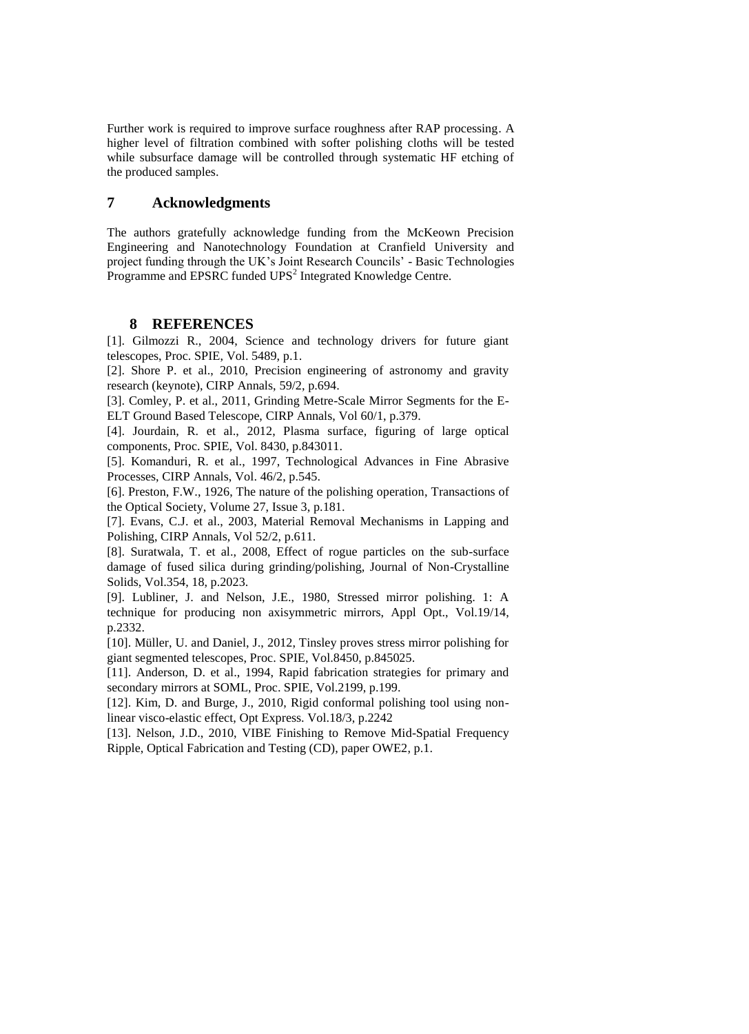Further work is required to improve surface roughness after RAP processing. A higher level of filtration combined with softer polishing cloths will be tested while subsurface damage will be controlled through systematic HF etching of the produced samples.

# **7 Acknowledgments**

The authors gratefully acknowledge funding from the McKeown Precision Engineering and Nanotechnology Foundation at Cranfield University and project funding through the UK's Joint Research Councils' - Basic Technologies Programme and EPSRC funded UPS<sup>2</sup> Integrated Knowledge Centre.

## **8 REFERENCES**

[1]. Gilmozzi R., 2004, Science and technology drivers for future giant telescopes, Proc. SPIE, Vol. 5489, p.1.

[2]. Shore P. et al., 2010, Precision engineering of astronomy and gravity research (keynote), CIRP Annals, 59/2, p.694.

[3]. Comley, P. et al., 2011, Grinding Metre-Scale Mirror Segments for the E-ELT Ground Based Telescope, CIRP Annals, Vol 60/1, p.379.

[4]. Jourdain, R. et al., 2012, Plasma surface, figuring of large optical components, Proc. SPIE, Vol. 8430, p.843011.

[5]. Komanduri, R. et al., 1997, Technological Advances in Fine Abrasive Processes, CIRP Annals, Vol. 46/2, p.545.

[6]. Preston, F.W., 1926, The nature of the polishing operation, Transactions of the Optical Society, Volume 27, Issue 3, p.181.

[7]. Evans, C.J. et al., 2003, Material Removal Mechanisms in Lapping and Polishing, CIRP Annals, Vol 52/2, p.611.

[8]. Suratwala, T. et al., 2008, Effect of rogue particles on the sub-surface damage of fused silica during grinding/polishing, Journal of Non-Crystalline Solids, Vol.354, 18, p.2023.

[9]. Lubliner, J. and Nelson, J.E., 1980, Stressed mirror polishing. 1: A technique for producing non axisymmetric mirrors, Appl Opt., Vol.19/14, p.2332.

[10]. Müller, U. and Daniel, J., 2012, Tinsley proves stress mirror polishing for giant segmented telescopes, Proc. SPIE, Vol.8450, p.845025.

[11]. Anderson, D. et al., 1994, Rapid fabrication strategies for primary and secondary mirrors at SOML, Proc. SPIE, Vol.2199, p.199.

[12]. Kim, D. and Burge, J., 2010, Rigid conformal polishing tool using nonlinear visco-elastic effect, Opt Express. Vol.18/3, p.2242

[13]. Nelson, J.D., 2010, VIBE Finishing to Remove Mid-Spatial Frequency Ripple, Optical Fabrication and Testing (CD), paper OWE2, p.1.